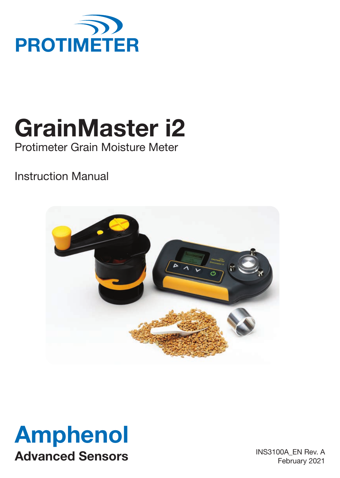

# **GrainMaster i2**

Protimeter Grain Moisture Meter

# Instruction Manual





INS3100A\_EN Rev. A February 2021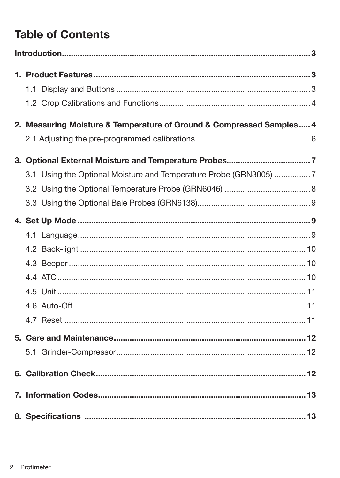# **Table of Contents**

| 2. Measuring Moisture & Temperature of Ground & Compressed Samples 4 |  |
|----------------------------------------------------------------------|--|
|                                                                      |  |
|                                                                      |  |
| 3.1 Using the Optional Moisture and Temperature Probe (GRN3005) 7    |  |
|                                                                      |  |
|                                                                      |  |
|                                                                      |  |
|                                                                      |  |
|                                                                      |  |
|                                                                      |  |
|                                                                      |  |
|                                                                      |  |
|                                                                      |  |
|                                                                      |  |
|                                                                      |  |
|                                                                      |  |
|                                                                      |  |
|                                                                      |  |
|                                                                      |  |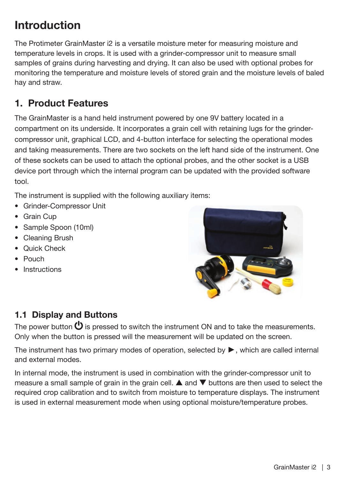# <span id="page-2-0"></span>**Introduction**

The Protimeter GrainMaster i2 is a versatile moisture meter for measuring moisture and temperature levels in crops. It is used with a grinder-compressor unit to measure small samples of grains during harvesting and drying. It can also be used with optional probes for monitoring the temperature and moisture levels of stored grain and the moisture levels of baled hay and straw.

# **1. Product Features**

The GrainMaster is a hand held instrument powered by one 9V battery located in a compartment on its underside. It incorporates a grain cell with retaining lugs for the grindercompressor unit, graphical LCD, and 4-button interface for selecting the operational modes and taking measurements. There are two sockets on the left hand side of the instrument. One of these sockets can be used to attach the optional probes, and the other socket is a USB device port through which the internal program can be updated with the provided software tool.

The instrument is supplied with the following auxiliary items:

- Grinder-Compressor Unit
- Grain Cup
- Sample Spoon (10ml)
- Cleaning Brush
- Quick Check
- Pouch
- Instructions



# **1.1 Display and Buttons**

The power button  $\mathbf \Theta$  is pressed to switch the instrument ON and to take the measurements. Only when the button is pressed will the measurement will be updated on the screen.

The instrument has two primary modes of operation, selected by ►, which are called internal and external modes.

In internal mode, the instrument is used in combination with the grinder-compressor unit to measure a small sample of grain in the grain cell.  $\blacktriangle$  and  $\nabla$  buttons are then used to select the required crop calibration and to switch from moisture to temperature displays. The instrument is used in external measurement mode when using optional moisture/temperature probes.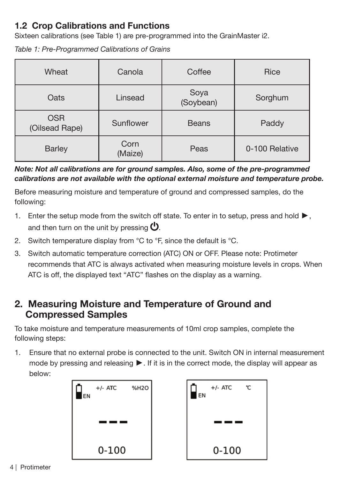## <span id="page-3-0"></span>**1.2 Crop Calibrations and Functions**

Sixteen calibrations (see Table 1) are pre-programmed into the GrainMaster i2.

*Table 1: Pre-Programmed Calibrations of Grains*

| Wheat                                     | Canola          | Coffee            | Rice           |
|-------------------------------------------|-----------------|-------------------|----------------|
| Oats                                      | Linsead         | Soya<br>(Soybean) | Sorghum        |
| <b>OSR</b><br>Sunflower<br>(Oilsead Rape) |                 | <b>Beans</b>      | Paddy          |
| <b>Barley</b>                             | Corn<br>(Maize) | Peas              | 0-100 Relative |

#### *Note: Not all calibrations are for ground samples. Also, some of the pre-programmed calibrations are not available with the optional external moisture and temperature probe.*

Before measuring moisture and temperature of ground and compressed samples, do the following:

- 1. Enter the setup mode from the switch off state. To enter in to setup, press and hold ►, and then turn on the unit by pressing  $\mathbf{\omega}$ .
- 2. Switch temperature display from  $\mathrm{C}$  to  $\mathrm{C}$ . since the default is  $\mathrm{C}$ .
- 3. Switch automatic temperature correction (ATC) ON or OFF. Please note: Protimeter recommends that ATC is always activated when measuring moisture levels in crops. When ATC is off, the displayed text "ATC" flashes on the display as a warning.

## **2. Measuring Moisture and Temperature of Ground and Compressed Samples**

To take moisture and temperature measurements of 10ml crop samples, complete the following steps:

1. Ensure that no external probe is connected to the unit. Switch ON in internal measurement mode by pressing and releasing ►. If it is in the correct mode, the display will appear as below:



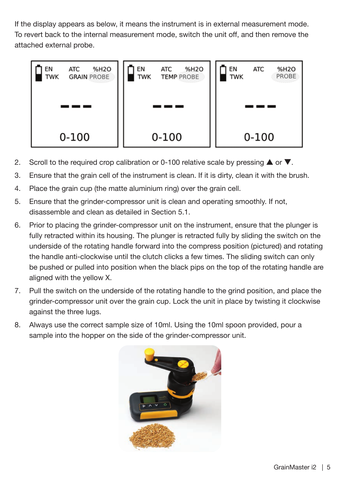If the display appears as below, it means the instrument is in external measurement mode. To revert back to the internal measurement mode, switch the unit off, and then remove the attached external probe.



- 2. Scroll to the required crop calibration or 0-100 relative scale by pressing  $\blacktriangle$  or  $\nabla$ .
- 3. Ensure that the grain cell of the instrument is clean. If it is dirty, clean it with the brush.
- 4. Place the grain cup (the matte aluminium ring) over the grain cell.
- 5. Ensure that the grinder-compressor unit is clean and operating smoothly. If not, disassemble and clean as detailed in Section 5.1.
- 6. Prior to placing the grinder-compressor unit on the instrument, ensure that the plunger is fully retracted within its housing. The plunger is retracted fully by sliding the switch on the underside of the rotating handle forward into the compress position (pictured) and rotating the handle anti-clockwise until the clutch clicks a few times. The sliding switch can only be pushed or pulled into position when the black pips on the top of the rotating handle are aligned with the yellow X.
- 7. Pull the switch on the underside of the rotating handle to the grind position, and place the grinder-compressor unit over the grain cup. Lock the unit in place by twisting it clockwise against the three lugs.
- 8. Always use the correct sample size of 10ml. Using the 10ml spoon provided, pour a sample into the hopper on the side of the grinder-compressor unit.

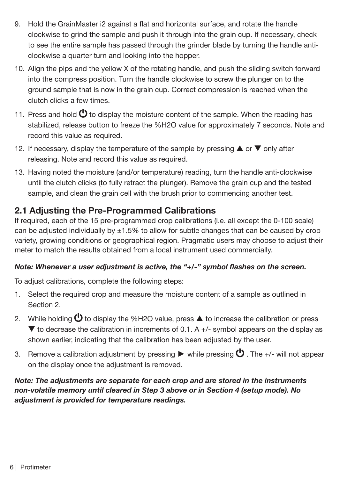- <span id="page-5-0"></span>9. Hold the GrainMaster i2 against a flat and horizontal surface, and rotate the handle clockwise to grind the sample and push it through into the grain cup. If necessary, check to see the entire sample has passed through the grinder blade by turning the handle anticlockwise a quarter turn and looking into the hopper.
- 10. Align the pips and the yellow X of the rotating handle, and push the sliding switch forward into the compress position. Turn the handle clockwise to screw the plunger on to the ground sample that is now in the grain cup. Correct compression is reached when the clutch clicks a few times.
- 11. Press and hold  $\bigcirc$  to display the moisture content of the sample. When the reading has stabilized, release button to freeze the %H2O value for approximately 7 seconds. Note and record this value as required.
- 12. If necessary, display the temperature of the sample by pressing  $\blacktriangle$  or  $\nabla$  only after releasing. Note and record this value as required.
- 13. Having noted the moisture (and/or temperature) reading, turn the handle anti-clockwise until the clutch clicks (to fully retract the plunger). Remove the grain cup and the tested sample, and clean the grain cell with the brush prior to commencing another test.

#### **2.1 Adjusting the Pre-Programmed Calibrations**

If required, each of the 15 pre-programmed crop calibrations (i.e. all except the 0-100 scale) can be adjusted individually by  $\pm 1.5\%$  to allow for subtle changes that can be caused by crop variety, growing conditions or geographical region. Pragmatic users may choose to adjust their meter to match the results obtained from a local instrument used commercially.

#### *Note: Whenever a user adjustment is active, the "+/-" symbol flashes on the screen.*

To adjust calibrations, complete the following steps:

- 1. Select the required crop and measure the moisture content of a sample as outlined in Section 2.
- 2. While holding  $\bigcirc$  to display the %H2O value, press  $\blacktriangle$  to increase the calibration or press  $\blacktriangledown$  to decrease the calibration in increments of 0.1. A  $+/-$  symbol appears on the display as shown earlier, indicating that the calibration has been adjusted by the user.
- 3. Remove a calibration adjustment by pressing ► while pressing  $\mathbf 0$  . The +/- will not appear on the display once the adjustment is removed.

#### *Note: The adjustments are separate for each crop and are stored in the instruments non-volatile memory until cleared in Step 3 above or in Section 4 (setup mode). No adjustment is provided for temperature readings.*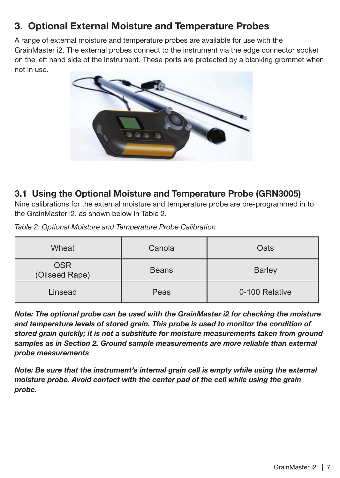# <span id="page-6-0"></span>**3. Optional External Moisture and Temperature Probes**

A range of external moisture and temperature probes are available for use with the GrainMaster i2. The external probes connect to the instrument via the edge connector socket on the left hand side of the instrument. These ports are protected by a blanking grommet when not in use.



#### **3.1 Using the Optional Moisture and Temperature Probe (GRN3005)**

Nine calibrations for the external moisture and temperature probe are pre-programmed in to the GrainMaster i2, as shown below in Table 2.

| Table 2: Optional Moisture and Temperature Probe Calibration |  |  |
|--------------------------------------------------------------|--|--|
|                                                              |  |  |

| Wheat                        | Canola       | Oats           |
|------------------------------|--------------|----------------|
| <b>OSR</b><br>(Oilseed Rape) | <b>Beans</b> | <b>Barley</b>  |
| Linsead                      | Peas         | 0-100 Relative |

*Note: The optional probe can be used with the GrainMaster i2 for checking the moisture*  and temperature levels of stored grain. This probe is used to monitor the condition of *stored grain quickly; it is not a substitute for moisture measurements taken from ground*  samples as in Section 2. Ground sample measurements are more reliable than external *probe measurements*

*Note: Be sure that the instrument's internal grain cell is empty while using the external moisture probe. Avoid contact with the center pad of the cell while using the grain probe.*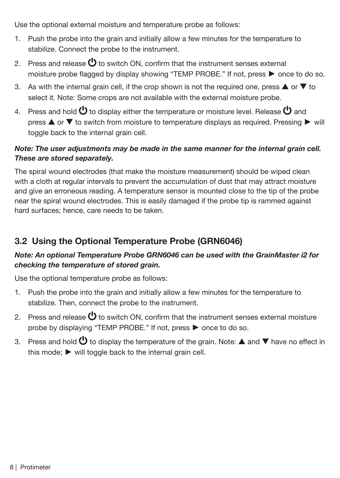<span id="page-7-0"></span>Use the optional external moisture and temperature probe as follows:

- 1. Push the probe into the grain and initially allow a few minutes for the temperature to stabilize. Connect the probe to the instrument.
- 2. Press and release  $\bigcirc$  to switch ON, confirm that the instrument senses external moisture probe flagged by display showing "TEMP PROBE." If not, press ► once to do so.
- 3. As with the internal grain cell, if the crop shown is not the required one, press  $\triangle$  or  $\nabla$  to select it. Note: Some crops are not available with the external moisture probe.
- 4. Press and hold  $\bigcirc$  to display either the temperature or moisture level. Release  $\bigcirc$  and press **A** or  $\blacktriangledown$  to switch from moisture to temperature displays as required. Pressing ▶ will toggle back to the internal grain cell.

#### *Note: The user adjustments may be made in the same manner for the internal grain cell. These are stored separately.*

The spiral wound electrodes (that make the moisture measurement) should be wiped clean with a cloth at regular intervals to prevent the accumulation of dust that may attract moisture and give an erroneous reading. A temperature sensor is mounted close to the tip of the probe near the spiral wound electrodes. This is easily damaged if the probe tip is rammed against hard surfaces; hence, care needs to be taken.

# **3.2 Using the Optional Temperature Probe (GRN6046)**

#### *Note: An optional Temperature Probe GRN6046 can be used with the GrainMaster i2 for checking the temperature of stored grain.*

Use the optional temperature probe as follows:

- 1. Push the probe into the grain and initially allow a few minutes for the temperature to stabilize. Then, connect the probe to the instrument.
- 2. Press and release  $\bigcirc$  to switch ON, confirm that the instrument senses external moisture probe by displaying "TEMP PROBE." If not, press ► once to do so.
- 3. Press and hold  $\bigcirc$  to display the temperature of the grain. Note:  $\blacktriangle$  and  $\blacktriangledown$  have no effect in this mode; ► will toggle back to the internal grain cell.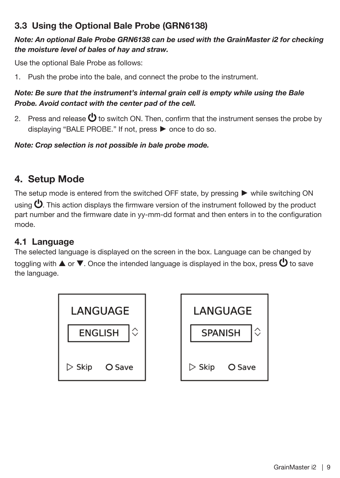# <span id="page-8-0"></span>**3.3 Using the Optional Bale Probe (GRN6138)**

#### *Note: An optional Bale Probe GRN6138 can be used with the GrainMaster i2 for checking the moisture level of bales of hay and straw.*

Use the optional Bale Probe as follows:

1. Push the probe into the bale, and connect the probe to the instrument.

#### *Note: Be sure that the instrument's internal grain cell is empty while using the Bale Probe. Avoid contact with the center pad of the cell.*

2. Press and release  $\bigcirc$  to switch ON. Then, confirm that the instrument senses the probe by displaying "BALE PROBE." If not, press ► once to do so.

*Note: Crop selection is not possible in bale probe mode.*

# **4. Setup Mode**

The setup mode is entered from the switched OFF state, by pressing ► while switching ON using  $\bigcup$ . This action displays the firmware version of the instrument followed by the product part number and the firmware date in yy-mm-dd format and then enters in to the configuration mode.

#### **4.1 Language**

The selected language is displayed on the screen in the box. Language can be changed by toggling with  $\blacktriangle$  or  $\blacktriangledown$ . Once the intended language is displayed in the box, press  $\bigcirc$  to save the language.



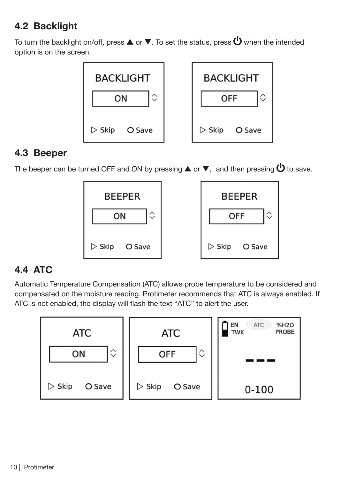# <span id="page-9-0"></span>**4.2 Backlight**

To turn the backlight on/off, press  $\blacktriangle$  or  $\nabla$ . To set the status, press  $\bigcup$  when the intended option is on the screen.



## **4.3 Beeper**

The beeper can be turned OFF and ON by pressing  $\blacktriangle$  or  $\blacktriangledown$ , and then pressing  $\bigcirc$  to save.



# **4.4 ATC**

Automatic Temperature Compensation (ATC) allows probe temperature to be considered and compensated on the moisture reading. Protimeter recommends that ATC is always enabled. If ATC is not enabled, the display will flash the text "ATC" to alert the user.

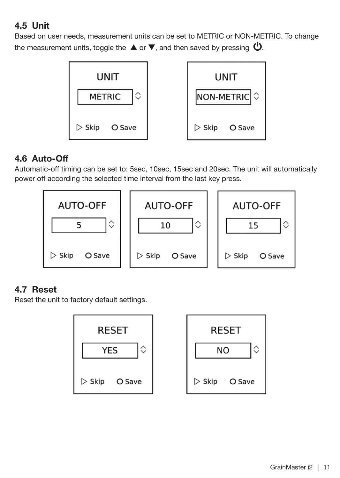# <span id="page-10-0"></span>**4.5 Unit**

Based on user needs, measurement units can be set to METRIC or NON-METRIC. To change the measurement units, toggle the  $\blacktriangle$  or  $\nabla$ , and then saved by pressing  $\omega$ .



#### **4.6 Auto-Off**

Automatic-off timing can be set to: 5sec, 10sec, 15sec and 20sec. The unit will automatically power off according the selected time interval from the last key press.



#### **4.7 Reset**

Reset the unit to factory default settings.

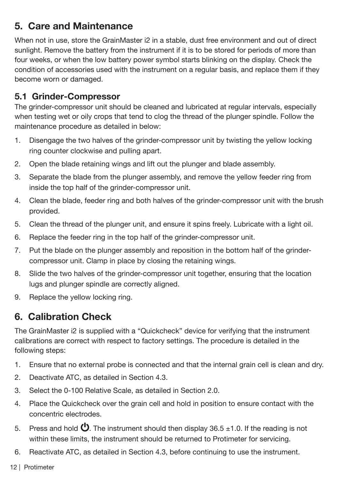# <span id="page-11-0"></span>**5. Care and Maintenance**

When not in use, store the GrainMaster i2 in a stable, dust free environment and out of direct sunlight. Remove the battery from the instrument if it is to be stored for periods of more than four weeks, or when the low battery power symbol starts blinking on the display. Check the condition of accessories used with the instrument on a regular basis, and replace them if they become worn or damaged.

### **5.1 Grinder-Compressor**

The grinder-compressor unit should be cleaned and lubricated at regular intervals, especially when testing wet or oily crops that tend to clog the thread of the plunger spindle. Follow the maintenance procedure as detailed in below:

- 1. Disengage the two halves of the grinder-compressor unit by twisting the yellow locking ring counter clockwise and pulling apart.
- 2. Open the blade retaining wings and lift out the plunger and blade assembly.
- 3. Separate the blade from the plunger assembly, and remove the yellow feeder ring from inside the top half of the grinder-compressor unit.
- 4. Clean the blade, feeder ring and both halves of the grinder-compressor unit with the brush provided.
- 5. Clean the thread of the plunger unit, and ensure it spins freely. Lubricate with a light oil.
- 6. Replace the feeder ring in the top half of the grinder-compressor unit.
- 7. Put the blade on the plunger assembly and reposition in the bottom half of the grindercompressor unit. Clamp in place by closing the retaining wings.
- 8. Slide the two halves of the grinder-compressor unit together, ensuring that the location lugs and plunger spindle are correctly aligned.
- 9. Replace the yellow locking ring.

# **6. Calibration Check**

The GrainMaster i2 is supplied with a "Quickcheck" device for verifying that the instrument calibrations are correct with respect to factory settings. The procedure is detailed in the following steps:

- 1. Ensure that no external probe is connected and that the internal grain cell is clean and dry.
- 2. Deactivate ATC, as detailed in Section 4.3.
- 3. Select the 0-100 Relative Scale, as detailed in Section 2.0.
- 4. Place the Quickcheck over the grain cell and hold in position to ensure contact with the concentric electrodes.
- 5. Press and hold  $\bigcirc$ . The instrument should then display 36.5 ±1.0. If the reading is not within these limits, the instrument should be returned to Protimeter for servicing.
- 6. Reactivate ATC, as detailed in Section 4.3, before continuing to use the instrument.
- 12 | Protimeter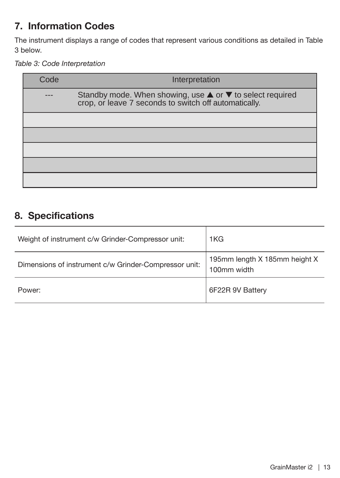# <span id="page-12-0"></span>**7. Information Codes**

The instrument displays a range of codes that represent various conditions as detailed in Table 3 below.

*Table 3: Code Interpretation*

| Code | Interpretation                                                                                                                        |
|------|---------------------------------------------------------------------------------------------------------------------------------------|
|      | Standby mode. When showing, use $\blacktriangle$ or $\nabla$ to select required crop, or leave 7 seconds to switch off automatically. |
|      |                                                                                                                                       |
|      |                                                                                                                                       |
|      |                                                                                                                                       |
|      |                                                                                                                                       |
|      |                                                                                                                                       |

# **8. Specifications**

| Weight of instrument c/w Grinder-Compressor unit:     | 1KG                                          |
|-------------------------------------------------------|----------------------------------------------|
| Dimensions of instrument c/w Grinder-Compressor unit: | 195mm length X 185mm height X<br>100mm width |
| Power:                                                | 6F22R 9V Battery                             |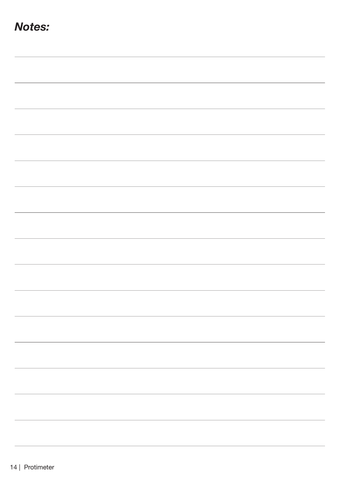| <b>Notes:</b> |  |  |
|---------------|--|--|
|               |  |  |
|               |  |  |
|               |  |  |
|               |  |  |
|               |  |  |
|               |  |  |
|               |  |  |
|               |  |  |
|               |  |  |
|               |  |  |
|               |  |  |
|               |  |  |
|               |  |  |
|               |  |  |
|               |  |  |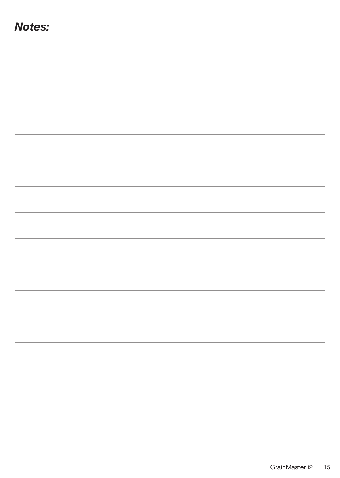| <b>Notes:</b> |  |  |
|---------------|--|--|
|               |  |  |
|               |  |  |
|               |  |  |
|               |  |  |
|               |  |  |
|               |  |  |
|               |  |  |
|               |  |  |
|               |  |  |
|               |  |  |
|               |  |  |
|               |  |  |
|               |  |  |
|               |  |  |
|               |  |  |